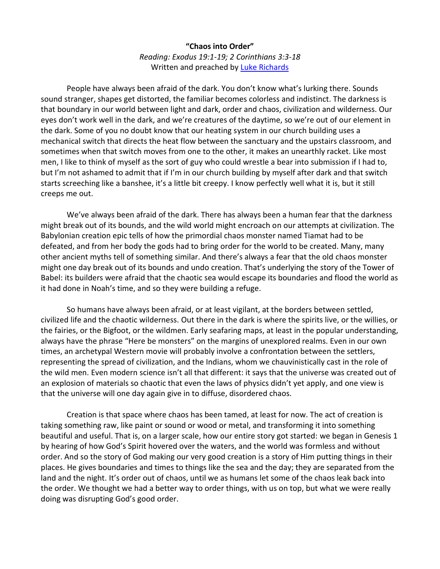## **"Chaos into Order"** *Reading: Exodus 19:1-19; 2 Corinthians 3:3-18* Written and preached by [Luke Richards](http://www.lukerichards.blogspot.com/)

People have always been afraid of the dark. You don't know what's lurking there. Sounds sound stranger, shapes get distorted, the familiar becomes colorless and indistinct. The darkness is that boundary in our world between light and dark, order and chaos, civilization and wilderness. Our eyes don't work well in the dark, and we're creatures of the daytime, so we're out of our element in the dark. Some of you no doubt know that our heating system in our church building uses a mechanical switch that directs the heat flow between the sanctuary and the upstairs classroom, and sometimes when that switch moves from one to the other, it makes an unearthly racket. Like most men, I like to think of myself as the sort of guy who could wrestle a bear into submission if I had to, but I'm not ashamed to admit that if I'm in our church building by myself after dark and that switch starts screeching like a banshee, it's a little bit creepy. I know perfectly well what it is, but it still creeps me out.

We've always been afraid of the dark. There has always been a human fear that the darkness might break out of its bounds, and the wild world might encroach on our attempts at civilization. The Babylonian creation epic tells of how the primordial chaos monster named Tiamat had to be defeated, and from her body the gods had to bring order for the world to be created. Many, many other ancient myths tell of something similar. And there's always a fear that the old chaos monster might one day break out of its bounds and undo creation. That's underlying the story of the Tower of Babel: its builders were afraid that the chaotic sea would escape its boundaries and flood the world as it had done in Noah's time, and so they were building a refuge.

So humans have always been afraid, or at least vigilant, at the borders between settled, civilized life and the chaotic wilderness. Out there in the dark is where the spirits live, or the willies, or the fairies, or the Bigfoot, or the wildmen. Early seafaring maps, at least in the popular understanding, always have the phrase "Here be monsters" on the margins of unexplored realms. Even in our own times, an archetypal Western movie will probably involve a confrontation between the settlers, representing the spread of civilization, and the Indians, whom we chauvinistically cast in the role of the wild men. Even modern science isn't all that different: it says that the universe was created out of an explosion of materials so chaotic that even the laws of physics didn't yet apply, and one view is that the universe will one day again give in to diffuse, disordered chaos.

Creation is that space where chaos has been tamed, at least for now. The act of creation is taking something raw, like paint or sound or wood or metal, and transforming it into something beautiful and useful. That is, on a larger scale, how our entire story got started: we began in Genesis 1 by hearing of how God's Spirit hovered over the waters, and the world was formless and without order. And so the story of God making our very good creation is a story of Him putting things in their places. He gives boundaries and times to things like the sea and the day; they are separated from the land and the night. It's order out of chaos, until we as humans let some of the chaos leak back into the order. We thought we had a better way to order things, with us on top, but what we were really doing was disrupting God's good order.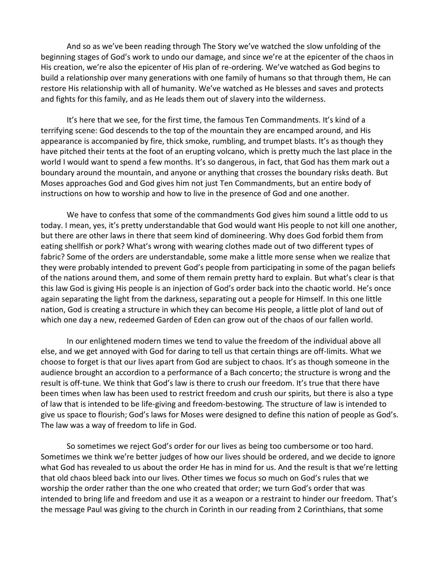And so as we've been reading through The Story we've watched the slow unfolding of the beginning stages of God's work to undo our damage, and since we're at the epicenter of the chaos in His creation, we're also the epicenter of His plan of re-ordering. We've watched as God begins to build a relationship over many generations with one family of humans so that through them, He can restore His relationship with all of humanity. We've watched as He blesses and saves and protects and fights for this family, and as He leads them out of slavery into the wilderness.

It's here that we see, for the first time, the famous Ten Commandments. It's kind of a terrifying scene: God descends to the top of the mountain they are encamped around, and His appearance is accompanied by fire, thick smoke, rumbling, and trumpet blasts. It's as though they have pitched their tents at the foot of an erupting volcano, which is pretty much the last place in the world I would want to spend a few months. It's so dangerous, in fact, that God has them mark out a boundary around the mountain, and anyone or anything that crosses the boundary risks death. But Moses approaches God and God gives him not just Ten Commandments, but an entire body of instructions on how to worship and how to live in the presence of God and one another.

We have to confess that some of the commandments God gives him sound a little odd to us today. I mean, yes, it's pretty understandable that God would want His people to not kill one another, but there are other laws in there that seem kind of domineering. Why does God forbid them from eating shellfish or pork? What's wrong with wearing clothes made out of two different types of fabric? Some of the orders are understandable, some make a little more sense when we realize that they were probably intended to prevent God's people from participating in some of the pagan beliefs of the nations around them, and some of them remain pretty hard to explain. But what's clear is that this law God is giving His people is an injection of God's order back into the chaotic world. He's once again separating the light from the darkness, separating out a people for Himself. In this one little nation, God is creating a structure in which they can become His people, a little plot of land out of which one day a new, redeemed Garden of Eden can grow out of the chaos of our fallen world.

In our enlightened modern times we tend to value the freedom of the individual above all else, and we get annoyed with God for daring to tell us that certain things are off-limits. What we choose to forget is that our lives apart from God are subject to chaos. It's as though someone in the audience brought an accordion to a performance of a Bach concerto; the structure is wrong and the result is off-tune. We think that God's law is there to crush our freedom. It's true that there have been times when law has been used to restrict freedom and crush our spirits, but there is also a type of law that is intended to be life-giving and freedom-bestowing. The structure of law is intended to give us space to flourish; God's laws for Moses were designed to define this nation of people as God's. The law was a way of freedom to life in God.

So sometimes we reject God's order for our lives as being too cumbersome or too hard. Sometimes we think we're better judges of how our lives should be ordered, and we decide to ignore what God has revealed to us about the order He has in mind for us. And the result is that we're letting that old chaos bleed back into our lives. Other times we focus so much on God's rules that we worship the order rather than the one who created that order; we turn God's order that was intended to bring life and freedom and use it as a weapon or a restraint to hinder our freedom. That's the message Paul was giving to the church in Corinth in our reading from 2 Corinthians, that some